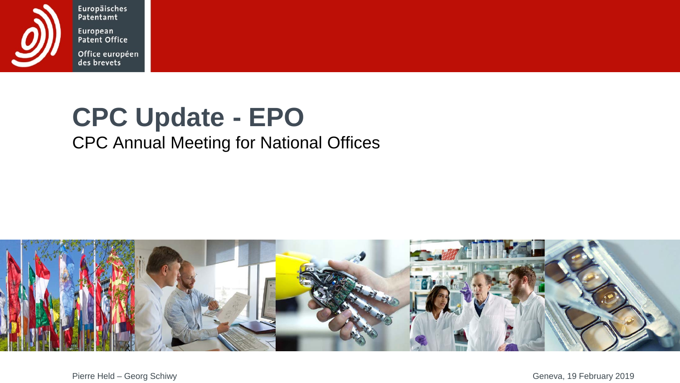

Europäisches Patentamt European Patent Office

Office européen<br>des brevets

## **CPC Update - EPO**

#### CPC Annual Meeting for National Offices

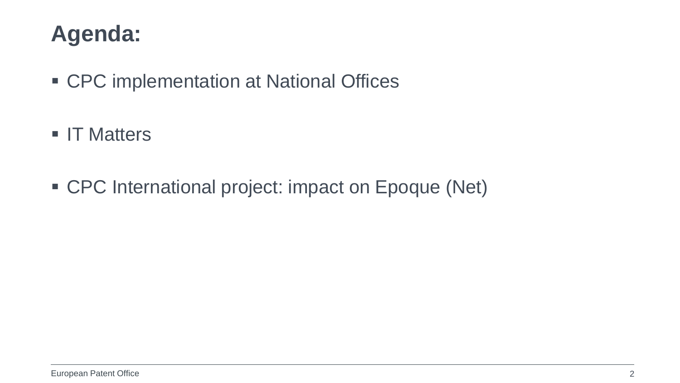#### **Agenda:**

- CPC implementation at National Offices
- **IT Matters**
- CPC International project: impact on Epoque (Net)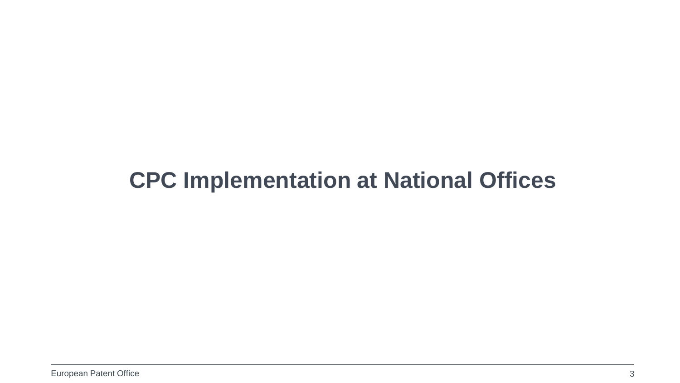#### **CPC Implementation at National Offices**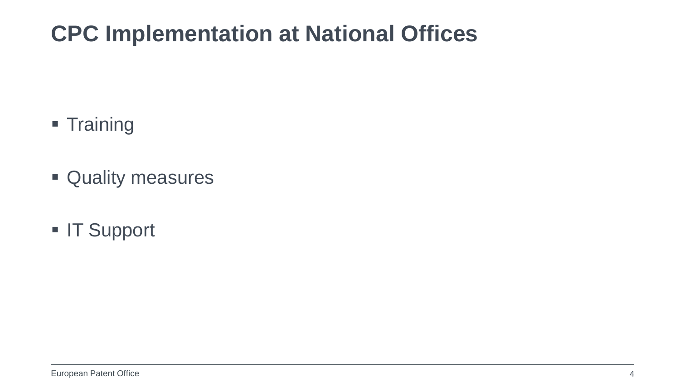#### **CPC Implementation at National Offices**

- **Training**
- Quality measures
- **IT Support**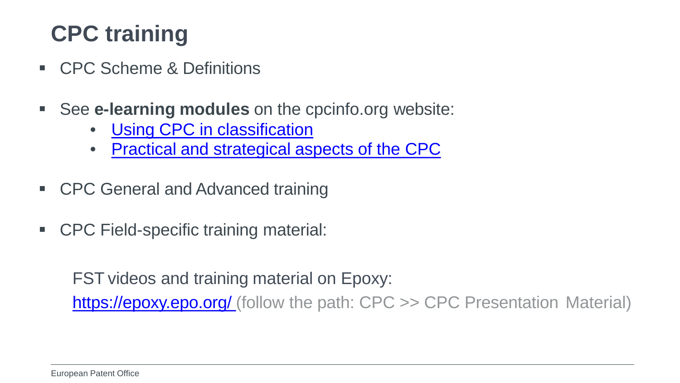## **CPC training**

- **CPC Scheme & Definitions**
- See **e-learning modules** on the cpcinfo.org website:
	- [Using CPC in](https://e-courses.epo.org/enrol/index.php?id=247) classification
	- [Practical and strategical aspects of the](https://e-courses.epo.org/enrol/index.php?id=318) CPC
- CPC General and Advanced training
- CPC Field-specific training material:

FST videos and training material on Epoxy:

[https://epoxy.epo.org/ \(](https://epoxy.epo.org/)follow the path: CPC >> CPC Presentation Material)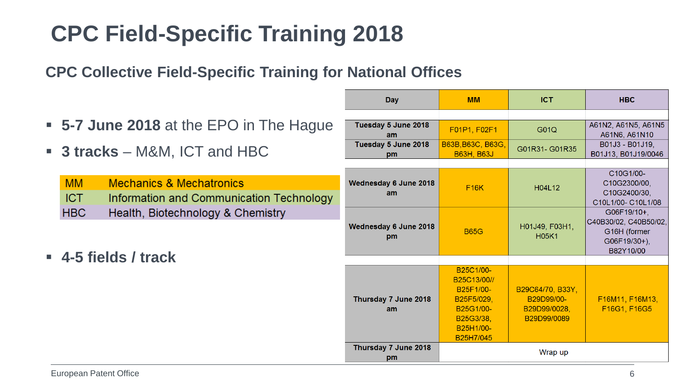## **CPC Field-Specific Training 2018**

**CPC Collective Field-Specific Training for National Offices**

|                                                                                                            | Day                         | <b>MM</b>                                                                                               | <b>ICT</b>                                                    | <b>HBC</b>                                                                        |
|------------------------------------------------------------------------------------------------------------|-----------------------------|---------------------------------------------------------------------------------------------------------|---------------------------------------------------------------|-----------------------------------------------------------------------------------|
| • 5-7 June 2018 at the EPO in The Hague                                                                    | Tuesday 5 June 2018<br>am   | F01P1, F02F1                                                                                            | G01Q                                                          | A61N2, A61N5, A61N5<br>A61N6, A61N10                                              |
| <b>3 tracks</b> – M&M, ICT and HBC                                                                         | Tuesday 5 June 2018<br>pm   | B63B, B63C, B63G,<br><b>B63H, B63J</b>                                                                  | G01R31-G01R35                                                 | B01J3 - B01J19,<br>B01J13, B01J19/0046                                            |
| <b>MM</b><br><b>Mechanics &amp; Mechatronics</b><br><b>ICT</b><br>Information and Communication Technology | Wednesday 6 June 2018<br>am | <b>F16K</b>                                                                                             | H04L12                                                        | C10G1/00-<br>C10G2300/00.<br>C10G2400/30,<br>C10L1/00- C10L1/08                   |
| <b>HBC</b><br>Health, Biotechnology & Chemistry                                                            | Wednesday 6 June 2018<br>pm | <b>B65G</b>                                                                                             | H01J49, F03H1,<br><b>H05K1</b>                                | G06F19/10+,<br>C40B30/02, C40B50/02,<br>G16H (former<br>G06F19/30+),<br>B82Y10/00 |
| $-4$ -5 fields / track                                                                                     | Thursday 7 June 2018<br>am  | B25C1/00-<br>B25C13/00//<br>B25F1/00-<br>B25F5/029.<br>B25G1/00-<br>B25G3/38.<br>B25H1/00-<br>B25H7/045 | B29C64/70, B33Y,<br>B29D99/00-<br>B29D99/0028.<br>B29D99/0089 | F16M11, F16M13,<br>F16G1, F16G5                                                   |
|                                                                                                            | Thursday 7 June 2018<br>pm  |                                                                                                         | Wrap up                                                       |                                                                                   |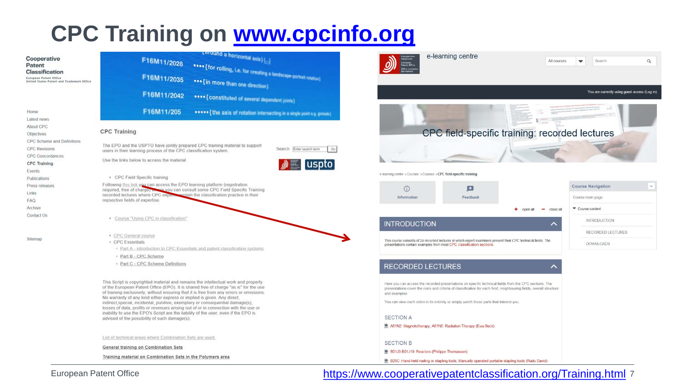#### **CPC Training on [www.cpcinfo.org](http://www.cpcinfo.org/)**

| Cooperative                                                                           | <b>L'around a horizontal asis</b> []                                                                                                                                                                                                                                  | e-lear<br>Europäische<br>Patentamt                                                          |
|---------------------------------------------------------------------------------------|-----------------------------------------------------------------------------------------------------------------------------------------------------------------------------------------------------------------------------------------------------------------------|---------------------------------------------------------------------------------------------|
| Patent                                                                                | F16M11/2028                                                                                                                                                                                                                                                           | luropean<br>latent Offic                                                                    |
| Classification<br>European Patent Office<br>United States Patent and Trademark Office | esse [for rolling, i.e. for creating a landscape portrait rolation]<br>F16M11/2035<br>*** {in more than one direction}                                                                                                                                                |                                                                                             |
|                                                                                       | F16M11/2042<br>esse [ COnstituted of several dependent joints)                                                                                                                                                                                                        |                                                                                             |
| Home                                                                                  | F16M11/205<br>esses {the axis of rotation intersecting in a single point e.g. gintual)                                                                                                                                                                                |                                                                                             |
| Latest news                                                                           |                                                                                                                                                                                                                                                                       |                                                                                             |
| About CPC                                                                             | <b>CPC Training</b>                                                                                                                                                                                                                                                   | CPC                                                                                         |
| Objectives<br>CPC Scheme and Definitions                                              |                                                                                                                                                                                                                                                                       |                                                                                             |
| <b>CPC Revisions</b>                                                                  | The EPO and the USPTO have jointly prepared CPC training material to support<br>Search Enter search term<br>Go                                                                                                                                                        |                                                                                             |
| <b>CPC Concordances</b>                                                               | users in their learning process of the CPC classification system.                                                                                                                                                                                                     |                                                                                             |
| <b>CPC</b> Training                                                                   | Use the links below to access the material<br>$\triangle$ uspto                                                                                                                                                                                                       |                                                                                             |
| Events                                                                                |                                                                                                                                                                                                                                                                       |                                                                                             |
| Publications                                                                          | • CPC Field Specific training                                                                                                                                                                                                                                         | e-learning centre > Courses > Courses > CPI                                                 |
| Press releases                                                                        | Following this link you can access the EPO learning platform (registration                                                                                                                                                                                            | ⋒                                                                                           |
| Links                                                                                 | required, free of charge) was you can consult some CPC Field Specific Training<br>recorded lectures where CPC expures evolain the classification practice in their                                                                                                    |                                                                                             |
| FAQ                                                                                   | repsective fields of expertise.                                                                                                                                                                                                                                       | Information                                                                                 |
| Archive                                                                               |                                                                                                                                                                                                                                                                       |                                                                                             |
| Contact Us                                                                            | · Course "Using CPC in classification"                                                                                                                                                                                                                                |                                                                                             |
|                                                                                       |                                                                                                                                                                                                                                                                       | <b>INTRODUCTION</b>                                                                         |
|                                                                                       | · CPC General course                                                                                                                                                                                                                                                  |                                                                                             |
| Sitemap                                                                               | • CPC Essentials                                                                                                                                                                                                                                                      | This course consists of 24 recorded let<br>presentations contain examples from n            |
|                                                                                       | · Part A - introduction to CPC Essentials and patent classification systems                                                                                                                                                                                           |                                                                                             |
|                                                                                       | - Part B - CPC Scheme                                                                                                                                                                                                                                                 |                                                                                             |
|                                                                                       | - Part C - CPC Scheme Definitions                                                                                                                                                                                                                                     | <b>RECORDED LECT</b>                                                                        |
|                                                                                       |                                                                                                                                                                                                                                                                       |                                                                                             |
|                                                                                       | This Script is copyrighted material and remains the intellectual work and property<br>of the European Patent Office (EPO). It is shared free of charge "as is" for the use<br>of training exclusively, without ensuring that it is free from any errors or omissions. | Here you can access the recorded p<br>presentations cover the rules and cri<br>and examples |
|                                                                                       | No warranty of any kind either express or implied is given. Any direct,<br>indirect, special, incidental, punitive, exemplary or consequential damage(s),<br>losses of data, profits or revenues arising out of or in connection with the use or                      | You can view each video in its entire                                                       |
|                                                                                       | inability to use the EPO's Script are the liability of the user, even if the EPO is<br>advised of the possibility of such damage(s).                                                                                                                                  | <b>SECTION A</b>                                                                            |
|                                                                                       |                                                                                                                                                                                                                                                                       | A61N2: Magnetotherapy, A61N5                                                                |
|                                                                                       | List of technical areas where Combination Sets are used.                                                                                                                                                                                                              |                                                                                             |
|                                                                                       |                                                                                                                                                                                                                                                                       | <b>SECTION B</b>                                                                            |
|                                                                                       | General training on Combination Sets                                                                                                                                                                                                                                  | B01J3-B01J19: Reactors (Philipp                                                             |
|                                                                                       | Training material on Combination Sets in the Polymers area                                                                                                                                                                                                            | B25C: Hand-held nailing or stapl                                                            |
|                                                                                       |                                                                                                                                                                                                                                                                       |                                                                                             |



#### European Patent Office **1986 March 2018 March 2018 March 2018** 7 March 2019 March 2019 March 2019 Training.html 7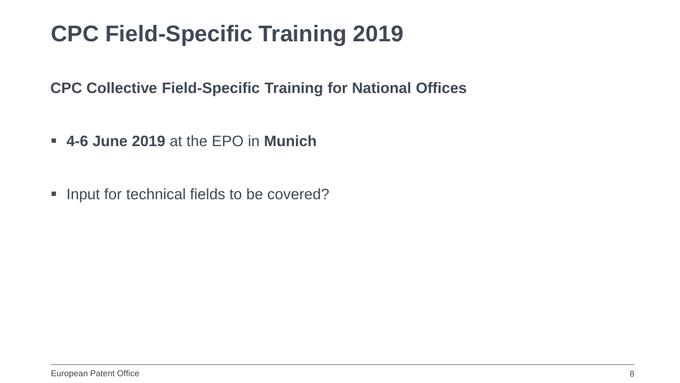### **CPC Field-Specific Training 2019**

**CPC Collective Field-Specific Training for National Offices**

- **4-6 June 2019** at the EPO in **Munich**
- Input for technical fields to be covered?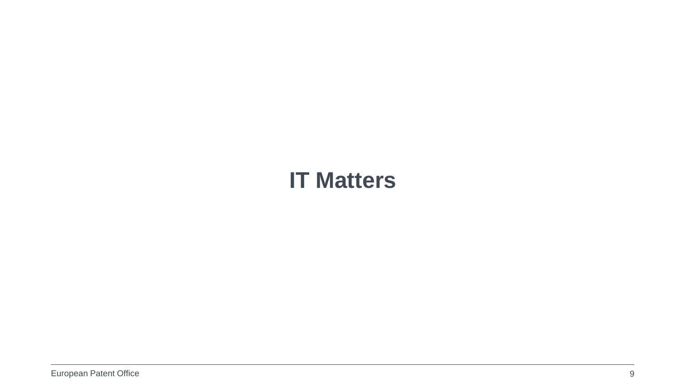#### **IT Matters**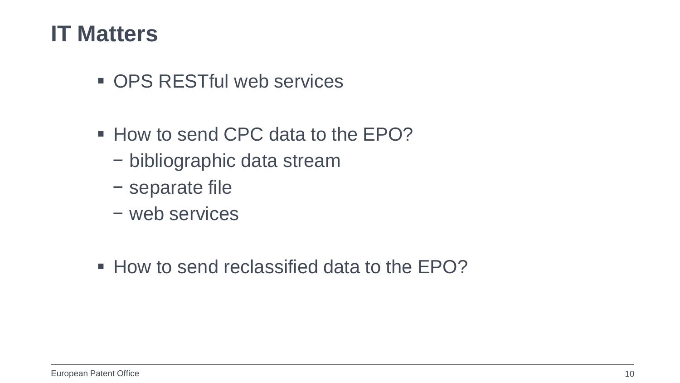#### **IT Matters**

- OPS RESTful web services
- How to send CPC data to the EPO?
	- − bibliographic data stream
	- − separate file
	- − web services
- $\blacksquare$  How to send reclassified data to the FPO?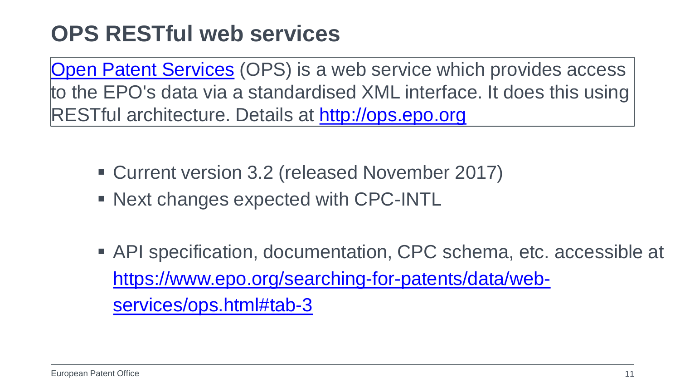#### **OPS RESTful web services**

[Open Patent Services](http://ops.epo.org/) (OPS) is a web service which provides access to the EPO's data via a standardised XML interface. It does this using RESTful architecture. Details at [http://ops.epo.org](http://ops.epo.org/)

- Current version 3.2 (released November 2017)
- Next changes expected with CPC-INTL
- API specification, documentation, CPC schema, etc. accessible at [https://www.epo.org/searching-for-patents/data/web](https://www.epo.org/searching-for-patents/data/web-services/ops.html%23tab-3)[services/ops.html#tab-3](https://www.epo.org/searching-for-patents/data/web-services/ops.html%23tab-3)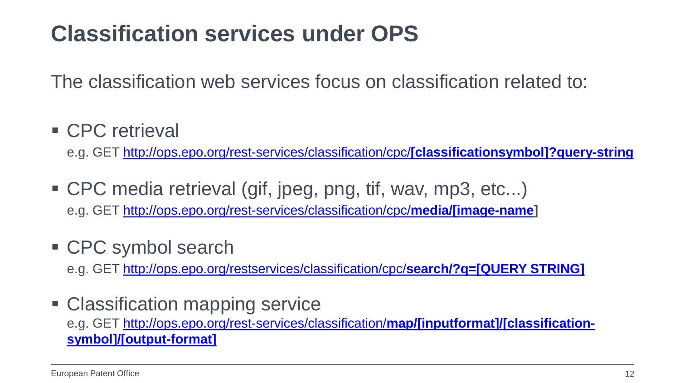#### **Classification services under OPS**

The classification web services focus on classification related to:

**CPC** retrieval

e.g. GET [http://ops.epo.org/rest-services/classification/cpc/](http://ops.epo.org/rest-services/classification/cpc/%5Bclassificationsymbol%5D?query-string)**[classificationsymbol]?query-string**

- CPC media retrieval (gif, jpeg, png, tif, wav, mp3, etc...) e.g. GET [http://ops.epo.org/rest-services/classification/cpc/](http://ops.epo.org/rest-services/classification/cpc/media/%5Bimage-name)**media/[image-name]**
- CPC symbol search

e.g. GET [http://ops.epo.org/restservices/classification/cpc/](http://ops.epo.org/restservices/classification/cpc/search/?q=%5BQUERY%20STRING%5D)**search/?q=[QUERY STRING]**

• Classification mapping service e.g. GET [http://ops.epo.org/rest-services/classification/](http://ops.epo.org/rest-services/classification/map/%5Binputformat%5D/%5Bclassification-symbol%5D/%5Boutput-format%5D)**map/[inputformat]/[classification[symbol\]/\[output-format\]](http://ops.epo.org/rest-services/classification/map/%5Binputformat%5D/%5Bclassification-symbol%5D/%5Boutput-format%5D)**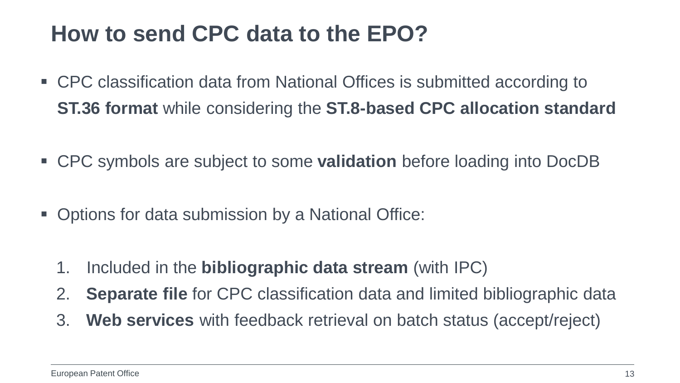#### **How to send CPC data to the EPO?**

- CPC classification data from National Offices is submitted according to **ST.36 format** while considering the **ST.8-based CPC allocation standard**
- CPC symbols are subject to some **validation** before loading into DocDB
- **Options for data submission by a National Office:** 
	- 1. Included in the **bibliographic data stream** (with IPC)
	- 2. **Separate file** for CPC classification data and limited bibliographic data
	- 3. **Web services** with feedback retrieval on batch status (accept/reject)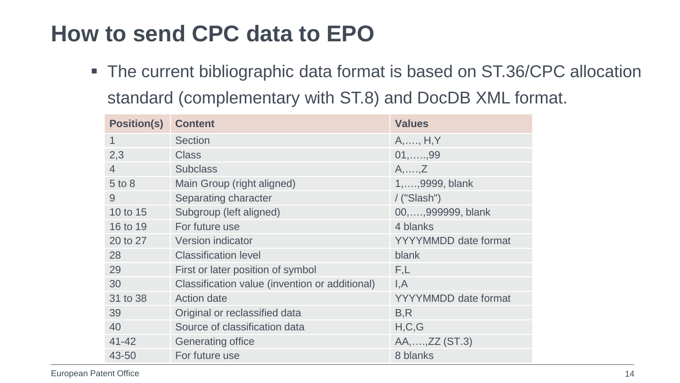#### **How to send CPC data to EPO**

■ The current bibliographic data format is based on ST.36/CPC allocation standard (complementary with ST.8) and DocDB XML format.

| <b>Position(s)</b> | <b>Content</b>                                 | <b>Values</b>               |
|--------------------|------------------------------------------------|-----------------------------|
| 1                  | Section                                        | $A, \ldots, H, Y$           |
| 2,3                | <b>Class</b>                                   | $01, \ldots, 99$            |
| $\overline{4}$     | <b>Subclass</b>                                | $A, \ldots, Z$              |
| 5 to 8             | Main Group (right aligned)                     | 1,,9999, blank              |
| 9                  | Separating character                           | $/$ ("Slash")               |
| 10 to 15           | Subgroup (left aligned)                        | 00,,999999, blank           |
| 16 to 19           | For future use                                 | 4 blanks                    |
| 20 to 27           | Version indicator                              | <b>YYYYMMDD</b> date format |
| 28                 | <b>Classification level</b>                    | blank                       |
| 29                 | First or later position of symbol              | F,L                         |
| 30                 | Classification value (invention or additional) | I, A                        |
| 31 to 38           | <b>Action date</b>                             | <b>YYYYMMDD</b> date format |
| 39                 | Original or reclassified data                  | B, R                        |
| 40                 | Source of classification data                  | H, C, G                     |
| $41 - 42$          | Generating office                              | AA,,ZZ (ST.3)               |
| 43-50              | For future use                                 | 8 blanks                    |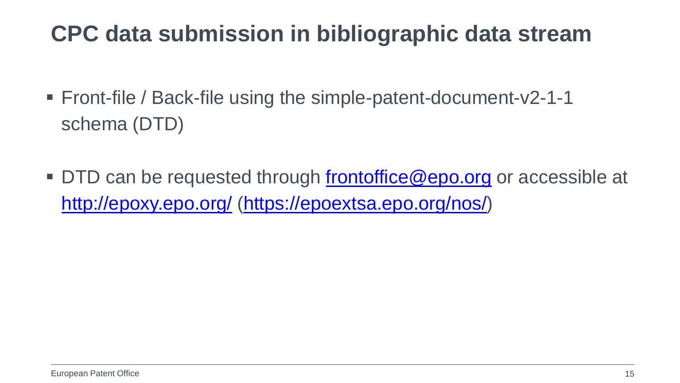#### **CPC data submission in bibliographic data stream**

- Front-file / Back-file using the simple-patent-document-v2-1-1 schema (DTD)
- DTD can be requested through [frontoffice@epo.org](mailto:frontoffice@epo.org) or accessible at <http://epoxy.epo.org/> (<https://epoextsa.epo.org/nos/>)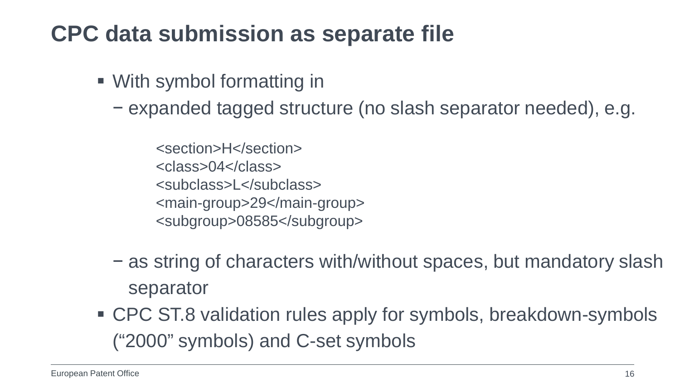#### **CPC data submission as separate file**

- With symbol formatting in
	- − expanded tagged structure (no slash separator needed), e.g.
		- <section>H</section> <class>04</class> <subclass>L</subclass> <main-group>29</main-group> <subgroup>08585</subgroup>
	- − as string of characters with/without spaces, but mandatory slash separator
- CPC ST.8 validation rules apply for symbols, breakdown-symbols ("2000" symbols) and C-set symbols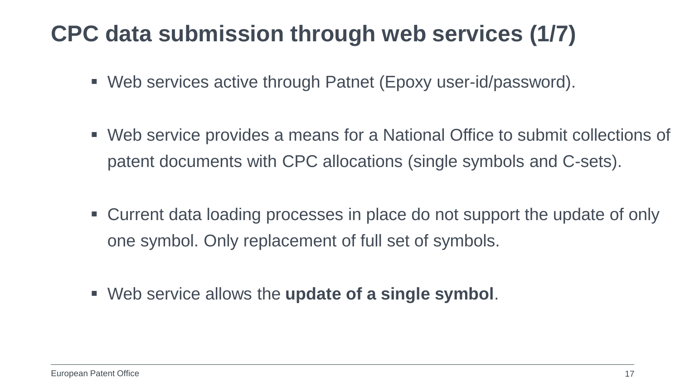#### **CPC data submission through web services (1/7)**

- Web services active through Patnet (Epoxy user-id/password).
- Web service provides a means for a National Office to submit collections of patent documents with CPC allocations (single symbols and C-sets).
- Current data loading processes in place do not support the update of only one symbol. Only replacement of full set of symbols.
- Web service allows the **update of a single symbol**.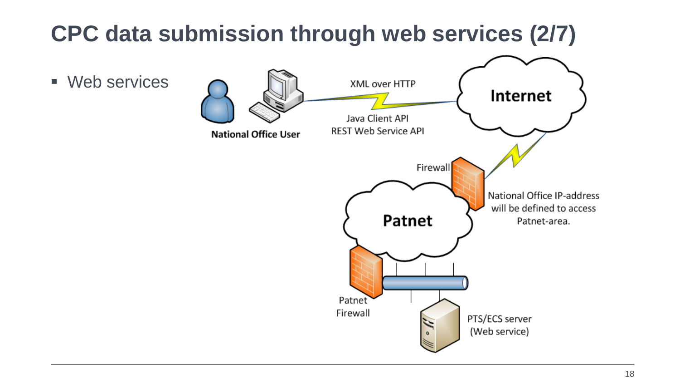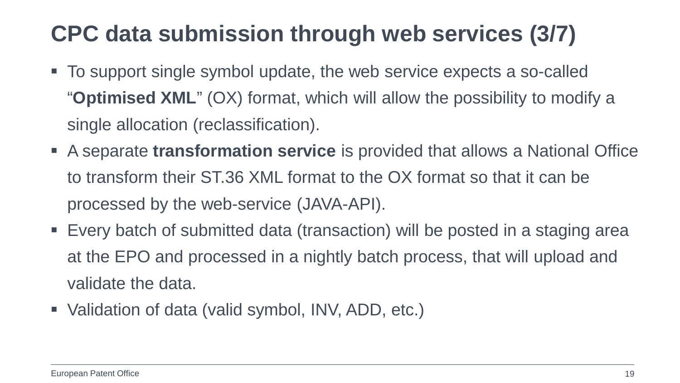#### **CPC data submission through web services (3/7)**

- To support single symbol update, the web service expects a so-called "**Optimised XML**" (OX) format, which will allow the possibility to modify a single allocation (reclassification).
- A separate **transformation service** is provided that allows a National Office to transform their ST.36 XML format to the OX format so that it can be processed by the web-service (JAVA-API).
- Every batch of submitted data (transaction) will be posted in a staging area at the EPO and processed in a nightly batch process, that will upload and validate the data.
- Validation of data (valid symbol, INV, ADD, etc.)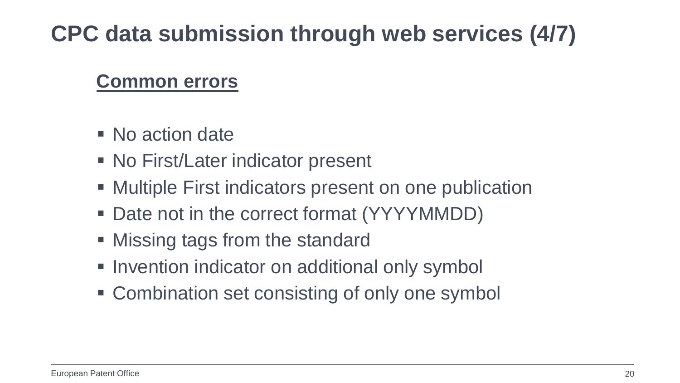#### **CPC data submission through web services (4/7)**

#### **Common errors**

- No action date
- No First/Later indicator present
- **Multiple First indicators present on one publication**
- Date not in the correct format (YYYYMMDD)
- Missing tags from the standard
- **Invention indicator on additional only symbol**
- **EX Combination set consisting of only one symbol**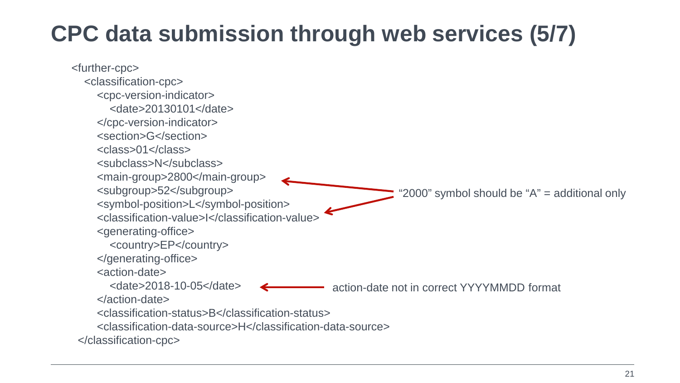#### **CPC data submission through web services (5/7)**

 <further-cpc> <classification-cpc> <cpc-version-indicator> <date>20130101</date> </cpc-version-indicator> <section>G</section> <class>01</class> <subclass>N</subclass> <main-group>2800</main-group> <subgroup>52</subgroup> <symbol-position>L</symbol-position> <classification-value>I</classification-value> <generating-office> <country>EP</country> </generating-office> <action-date> <date>2018-10-05</date> </action-date> <classification-status>B</classification-status> <classification-data-source>H</classification-data-source> </classification-cpc> action-date not in correct YYYYMMDD format " $2000$ " symbol should be " $A$ " = additional only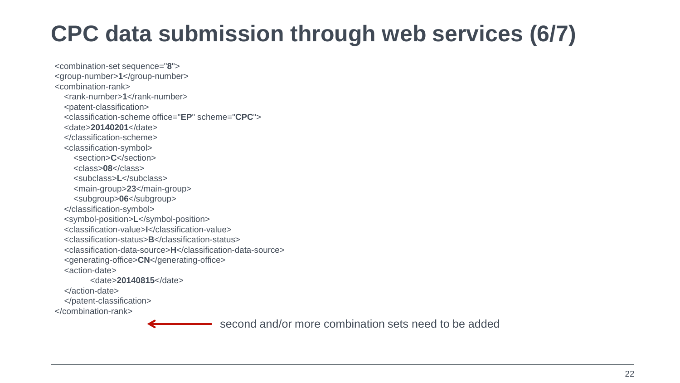#### **CPC data submission through web services (6/7)**

<combination-set sequence="**8**"> <group-number>**1**</group-number> <combination-rank> <rank-number>1</rank-number> <patent-classification> <classification-scheme office="**EP**" scheme="**CPC**"> <date>**20140201**</date> </classification-scheme> <classification-symbol> <section>**C**</section> <class>**08**</class> <subclass>**L**</subclass> <main-group>**23**</main-group> <subgroup>**06**</subgroup> </classification-symbol> <symbol-position>**L**</symbol-position> <classification-value>**I**</classification-value> <classification-status>**B**</classification-status> <classification-data-source>**H**</classification-data-source> <generating-office>**CN**</generating-office> <action-date> <date>**20140815**</date> </action-date> </patent-classification>

</combination-rank>

second and/or more combination sets need to be added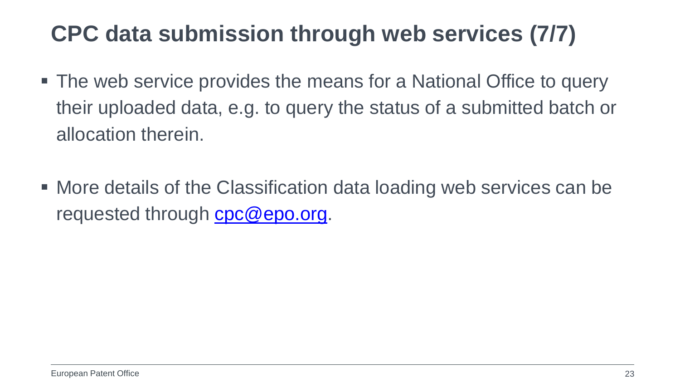#### **CPC data submission through web services (7/7)**

- The web service provides the means for a National Office to query their uploaded data, e.g. to query the status of a submitted batch or allocation therein.
- More details of the Classification data loading web services can be requested through [cpc@epo.org.](mailto:cpc@epo.org)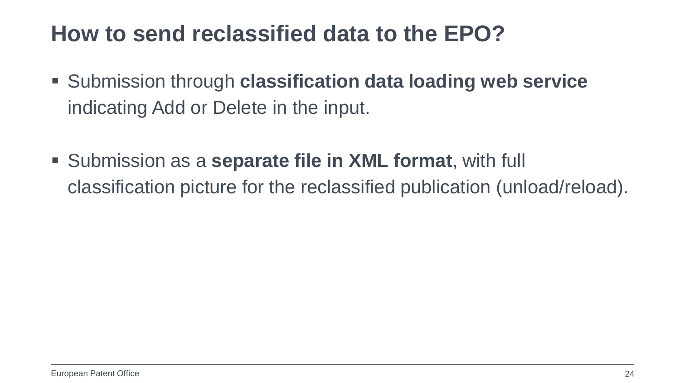#### **How to send reclassified data to the EPO?**

- Submission through **classification data loading web service** indicating Add or Delete in the input.
- Submission as a **separate file in XML format**, with full classification picture for the reclassified publication (unload/reload).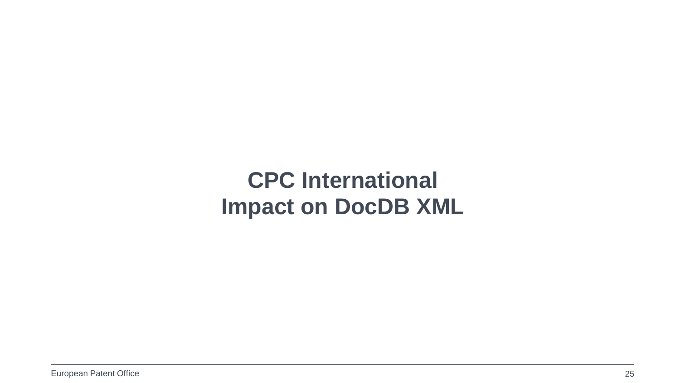#### **CPC International Impact on DocDB XML**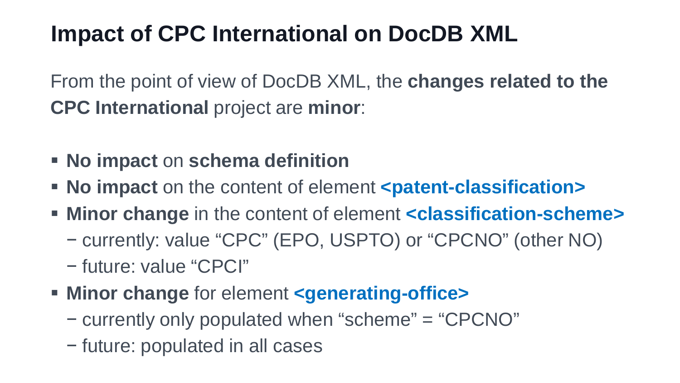#### **Impact of CPC International on DocDB XML**

From the point of view of DocDB XML, the **changes related to the CPC International** project are **minor**:

- **No impact** on **schema definition**
- **No impact** on the content of element **<patent-classification>**
- **Minor change** in the content of element **<classification-scheme>**
	- − currently: value "CPC" (EPO, USPTO) or "CPCNO" (other NO)
	- − future: value "CPCI"
- **EXECUTE: Minor change for element <generating-office>** 
	- − currently only populated when "scheme" = "CPCNO"
	- − future: populated in all cases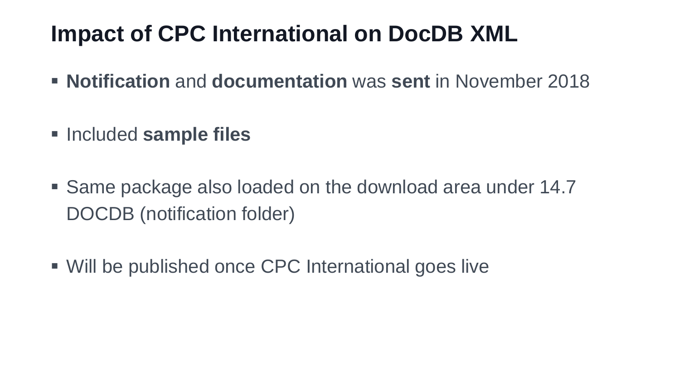#### **Impact of CPC International on DocDB XML**

- **Notification** and **documentation** was **sent** in November 2018
- **Example files**
- Same package also loaded on the download area under 14.7 DOCDB (notification folder)
- Will be published once CPC International goes live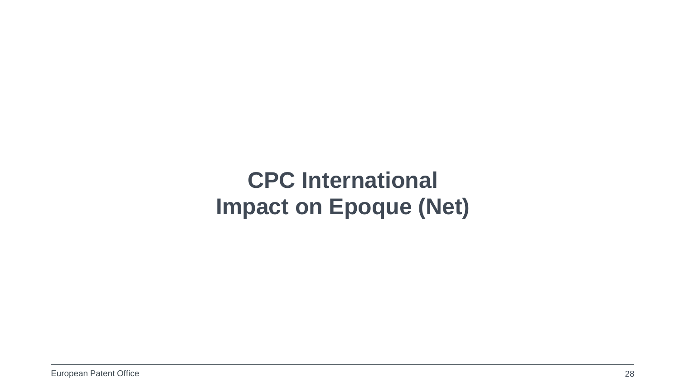#### **CPC International Impact on Epoque (Net)**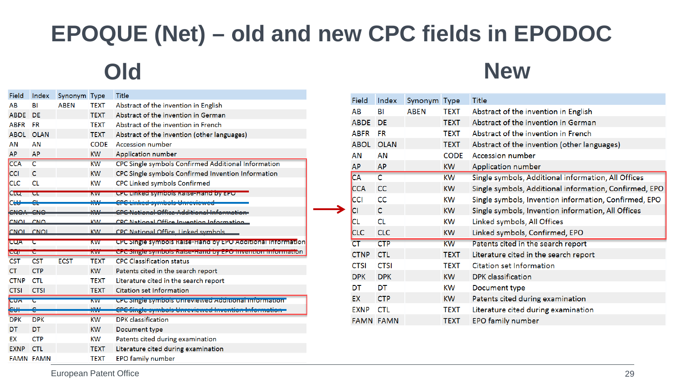#### **EPOQUE (Net) – old and new CPC fields in EPODOC**

| Field       | Index                                | Synonym Type |              | Title                                                            |
|-------------|--------------------------------------|--------------|--------------|------------------------------------------------------------------|
| AB          | BI                                   | <b>ABEN</b>  | <b>TEXT</b>  | Abstract of the invention in English                             |
| <b>ABDE</b> | DE                                   |              | <b>TEXT</b>  | Abstract of the invention in German                              |
| <b>ABFR</b> | <b>FR</b>                            |              | <b>TEXT</b>  | Abstract of the invention in French                              |
| <b>ABOL</b> | <b>OLAN</b>                          |              | <b>TEXT</b>  | Abstract of the invention (other languages)                      |
| AN          | AN                                   |              | <b>CODE</b>  | Accession number                                                 |
| AP          | AP                                   |              | KW           | Application number                                               |
| <b>CCA</b>  | C                                    |              | <b>KW</b>    | CPC Single symbols Confirmed Additional Information              |
| <b>CCI</b>  | C                                    |              | <b>KW</b>    | CPC Single symbols Confirmed Invention Information               |
| <b>CLC</b>  | <b>CL</b>                            |              | KW           | <b>CPC Linked symbols Confirmed</b>                              |
| CLU         | ᄄ                                    |              | <b>KVV</b>   | CPC Linked symbols Raise-Hand by EPU                             |
| <b>CHU</b>  |                                      |              | <b>IAL</b>   | che Bala<br>Linked symbols Unreviewed                            |
| <b>CNOA</b> | $\overline{\mathbf{C}}$ $\mathbf{M}$ |              | <b>VALL</b>  | CDC National Office Additional Informa                           |
| <b>CNOL</b> | CNO                                  |              | <b>KIN</b>   | CDC National Office Invention Information                        |
| <b>CNOL</b> | <b>CNOI</b>                          |              | <b>KW</b>    | <b>CPC National Office, Linked symbols</b>                       |
| <b>CQA</b>  | τ                                    |              | <b>KVV</b>   | CPC Single symbols Raise-Hand by EPO Additional Information      |
| प्रदा       | ᡄ                                    |              | <b>INVV</b>  | <u>Ur Comple sympols naise nand by Ero invention imorniation</u> |
| <b>CST</b>  | <b>CST</b>                           | <b>ECST</b>  | TEXT         | <b>CPC Classification status</b>                                 |
| CТ          | <b>CTP</b>                           |              | <b>KW</b>    | Patents cited in the search report                               |
| <b>CTNP</b> | <b>CTL</b>                           |              | <b>TEXT</b>  | Literature cited in the search report                            |
| <b>CTSI</b> | <b>CTSI</b>                          |              | <b>TEXT</b>  | <b>Citation set Information</b>                                  |
| <b>CUA</b>  | c                                    |              | <b>NVV</b>   | CPC Single sympols Unreviewed Additional Imprimation             |
| eщ          | Ġ                                    |              | <b>IZVAL</b> | <mark>CPC Single symbols Unreviewed Inve</mark>                  |
| <b>DPK</b>  | <b>DPK</b>                           |              | KW           | DPK classification                                               |
| DT          | <b>DT</b>                            |              | <b>KW</b>    | Document type                                                    |
| EX          | <b>CTP</b>                           |              | KW           | Patents cited during examination                                 |
| <b>EXNP</b> |                                      |              |              |                                                                  |
|             | <b>CTL</b>                           |              | <b>TEXT</b>  | Literature cited during examination                              |

#### **Old New**

| Field            | Index       | Synonym Type |             | Title                                                  |
|------------------|-------------|--------------|-------------|--------------------------------------------------------|
| AB               | BI          | <b>ABEN</b>  | TEXT        | Abstract of the invention in English                   |
| <b>ABDE</b>      | <b>DE</b>   |              | <b>TEXT</b> | Abstract of the invention in German                    |
| <b>ABFR</b>      | <b>FR</b>   |              | TEXT        | Abstract of the invention in French                    |
| <b>ABOL</b>      | <b>OLAN</b> |              | <b>TEXT</b> | Abstract of the invention (other languages)            |
| AN               | AN          |              | <b>CODE</b> | <b>Accession number</b>                                |
| <b>AP</b>        | <b>AP</b>   |              | <b>KW</b>   | Application number                                     |
| <b>CA</b>        | C           |              | <b>KW</b>   | Single symbols, Additional information, All Offices    |
| <b>CCA</b>       | <b>CC</b>   |              | <b>KW</b>   | Single symbols, Additional information, Confirmed, EPO |
| <b>CCI</b>       | <b>CC</b>   |              | KW          | Single symbols, Invention information, Confirmed, EPO  |
| <b>CI</b>        | C           |              | KW          | Single symbols, Invention information, All Offices     |
| <b>CL</b>        | <b>CL</b>   |              | KW          | Linked symbols, All Offices                            |
| <b>CLC</b>       | <b>CLC</b>  |              | <b>KW</b>   | Linked symbols, Confirmed, EPO                         |
| CT               | <b>CTP</b>  |              | <b>KW</b>   | Patents cited in the search report                     |
| <b>CTNP</b>      | <b>CTL</b>  |              | <b>TEXT</b> | Literature cited in the search report                  |
| <b>CTSI</b>      | <b>CTSI</b> |              | <b>TEXT</b> | <b>Citation set Information</b>                        |
| <b>DPK</b>       | <b>DPK</b>  |              | <b>KW</b>   | DPK classification                                     |
| DT               | DT          |              | KW          | Document type                                          |
| <b>EX</b>        | <b>CTP</b>  |              | <b>KW</b>   | Patents cited during examination                       |
| <b>EXNP</b>      | <b>CTL</b>  |              | TEXT        | Literature cited during examination                    |
| <b>FAMN FAMN</b> |             |              | <b>TEXT</b> | <b>EPO family number</b>                               |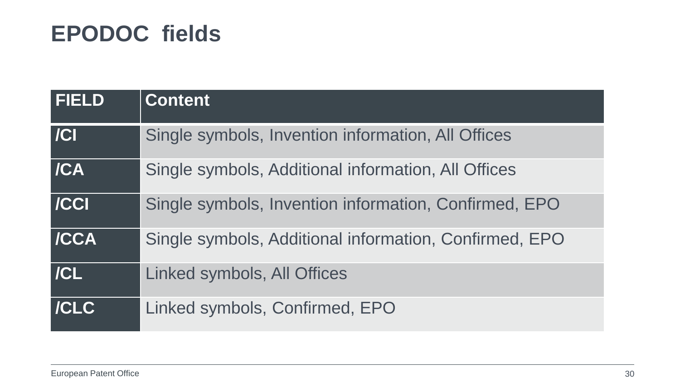#### **EPODOC fields**

| <b>FIELD</b> | <b>Content</b>                                         |
|--------------|--------------------------------------------------------|
| /            | Single symbols, Invention information, All Offices     |
| /CA          | Single symbols, Additional information, All Offices    |
| / CC         | Single symbols, Invention information, Confirmed, EPO  |
| <b>/CCA</b>  | Single symbols, Additional information, Confirmed, EPO |
| /CL          | Linked symbols, All Offices                            |
| <b>/CLC</b>  | Linked symbols, Confirmed, EPO                         |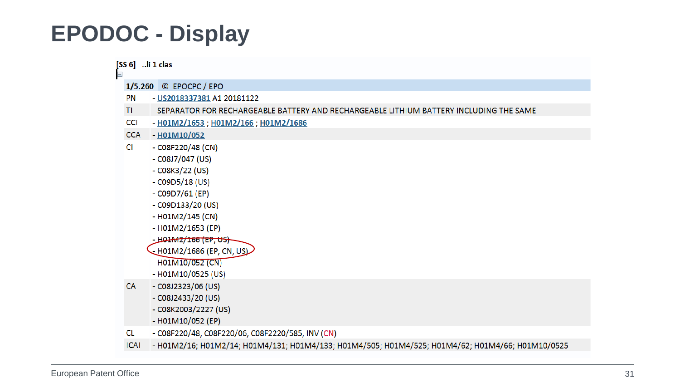#### **EPODOC - Display**

| $\blacksquare$ | [SS 6] li 1 clas                                                                                                                                                                                                                                                              |
|----------------|-------------------------------------------------------------------------------------------------------------------------------------------------------------------------------------------------------------------------------------------------------------------------------|
|                | 1/5.260 © EPOCPC / EPO                                                                                                                                                                                                                                                        |
| <b>PN</b>      | - US2018337381 A1 20181122                                                                                                                                                                                                                                                    |
| TI.            | - SEPARATOR FOR RECHARGEABLE BATTERY AND RECHARGEABLE LITHIUM BATTERY INCLUDING THE SAME                                                                                                                                                                                      |
| <b>CCI</b>     | - H01M2/1653; H01M2/166; H01M2/1686                                                                                                                                                                                                                                           |
| <b>CCA</b>     | $-H01M10/052$                                                                                                                                                                                                                                                                 |
| CI             | $-C08F220/48$ (CN)<br>$-C08J7/047$ (US)<br>$-C08K3/22$ (US)<br>$-C09D5/18$ (US)<br>$-C09D7/61$ (EP)<br>$-C09D133/20$ (US)<br>$-$ H01M2/145 (CN)<br>- H01M2/1653 (EP)<br><u>- H01-M2/166 (EP, US)-</u><br>- H01M2/1686 (EP, CN, US)<br>- H01M10/052 (CN)<br>- H01M10/0525 (US) |
| <b>CA</b>      | $-C08J2323/06$ (US)<br>$-C08J2433/20$ (US)<br>- C08K2003/2227 (US)<br>- H01M10/052 (EP)                                                                                                                                                                                       |
| CL.            | - C08F220/48, C08F220/06, C08F2220/585, INV (CN)                                                                                                                                                                                                                              |
| <b>ICAI</b>    | - H01M2/16; H01M2/14; H01M4/131; H01M4/133; H01M4/505; H01M4/525; H01M4/62; H01M4/66; H01M10/0525                                                                                                                                                                             |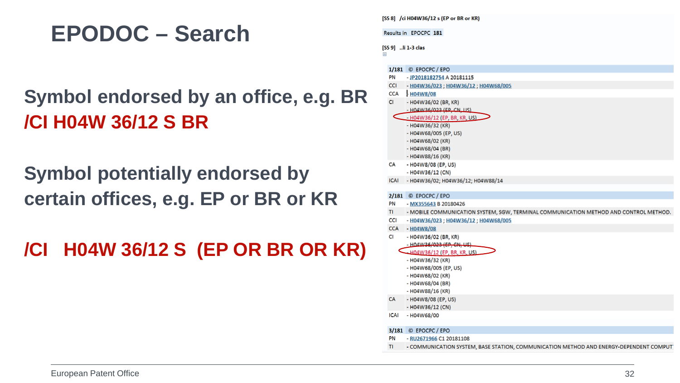#### **EPODOC – Search**

#### **Symbol endorsed by an office, e.g. BR /CI H04W 36/12 S BR**

**Symbol potentially endorsed by certain offices, e.g. EP or BR or KR**

**/CI H04W 36/12 S (EP OR BR OR KR)**

|             | Results in EPOCPC 181                                                                                             |
|-------------|-------------------------------------------------------------------------------------------------------------------|
| Ξ           | [SS 9] li 1-3 clas                                                                                                |
|             | 1/181 © EPOCPC / EPO                                                                                              |
| PN          | - JP2018182754 A 20181115                                                                                         |
| <b>CCI</b>  | - H04W36/023 ; H04W36/12 ; H04W68/005                                                                             |
| <b>CCA</b>  | - H04W8/08                                                                                                        |
| CI.         | - H04W36/02 (BR, KR)                                                                                              |
|             | - H04W36/023 (EP, CN, LIS)                                                                                        |
|             | H04W36/12 (EP, BR, KR, US)                                                                                        |
|             | $-$ H04W36/32 (KR)                                                                                                |
|             | - H04W68/005 (EP, US)                                                                                             |
|             | - H04W68/02 (KR)                                                                                                  |
|             | $-$ H04W68/04 (BR)                                                                                                |
|             | $-$ H04W88/16 (KR)                                                                                                |
| CA          | - H04W8/08 (EP, US)                                                                                               |
| <b>ICAI</b> | - H04W36/12 (CN)<br>- H04W36/02; H04W36/12; H04W88/14                                                             |
|             |                                                                                                                   |
|             | 2/181 © EPOCPC / EPO                                                                                              |
| PN          | - MX355643 B 20180426                                                                                             |
| TI.         | - MOBILE COMMUNICATION SYSTEM, SGW, TERMINAL COMMUNICATION METHOD AND CONTROL METHOD.                             |
| CCI         | - H04W36/023 ; H04W36/12 ; H04W68/005                                                                             |
| <b>CCA</b>  | $-H04W8/08$                                                                                                       |
| CI          | - H04W36/02 (BR, KR)                                                                                              |
|             | - H04W36/023 (EP, CN, US)                                                                                         |
|             | H04W36/12 (EP, BR, KR, US)                                                                                        |
|             | - H04W36/32 (KR)                                                                                                  |
|             | - H04W68/005 (EP, US)                                                                                             |
|             | - H04W68/02 (KR)                                                                                                  |
|             | - H04W68/04 (BR)                                                                                                  |
|             | - H04W88/16 (KR)                                                                                                  |
| CA          | - H04W8/08 (EP, US)<br>- H04W36/12 (CN)                                                                           |
| <b>ICAI</b> | - H04W68/00                                                                                                       |
|             |                                                                                                                   |
| PN          | 3/181 © EPOCPC / EPO                                                                                              |
| TI          | - RU2671966 C1 20181108<br>- COMMUNICATION SYSTEM, BASE STATION, COMMUNICATION METHOD AND ENERGY-DEPENDENT COMPUT |
|             |                                                                                                                   |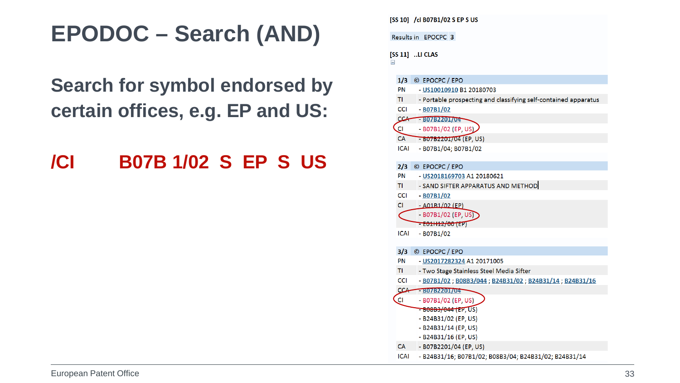#### **EPODOC – Search (AND)**

#### **Search for symbol endorsed by certain offices, e.g. EP and US:**

#### **/CI B07B 1/02 S EP S US**

|                        | [SS 10] /ci B07B1/02 S EP S US                                  |
|------------------------|-----------------------------------------------------------------|
|                        | Results in EPOCPC 3                                             |
| [SS 11] LI CLAS<br>$=$ |                                                                 |
| 1/3                    | © EPOCPC / EPO                                                  |
| PN                     | - US10010910 B1 20180703                                        |
| TI.                    | - Portable prospecting and classifying self-contained apparatus |
| <b>CCI</b>             | $-$ B07B1/02                                                    |
|                        | CCA B07B2201704                                                 |
| Cl                     | - B07B1/02 (EP, US)                                             |
| CA 7                   | $-60762201/04$ (EP, US)                                         |
| <b>ICAI</b>            | - B07B1/04; B07B1/02                                            |
| 2/3                    | © EPOCPC / EPO                                                  |
| <b>PN</b>              | - US2018169703 A1 20180621                                      |
| TI.                    | - SAND SIFTER APPARATUS AND METHOD                              |
| <b>CCI</b>             | $-$ B07B1/02                                                    |
| CI.                    | $- A01B1/02$ (EP)                                               |
|                        | $-$ B07B1/02 (EP, US)                                           |
|                        | <del>- E01H12/00 (E</del> P)                                    |
| <b>ICAI</b>            | $-$ B07B1/02                                                    |
| 3/3                    | © EPOCPC / EPO                                                  |
| PN                     | - US2017282324 A1 20171005                                      |
| TI.                    | - Two Stage Stainless Steel Media Sifter                        |
| <b>CCI</b>             | - B07B1/02 ; B08B3/044 ; B24B31/02 ; B24B31/14 ; B24B31/16      |
| <b>CCA</b>             | B07B2201/04                                                     |
| .CI                    | - B07B1/02 (EP, US)                                             |
|                        | <del>- B08B3/044 (EP, US</del> )                                |
|                        | - B24B31/02 (EP, US)                                            |
|                        | - B24B31/14 (EP, US)                                            |
|                        | - B24B31/16 (EP, US)                                            |
| <b>CA</b>              | - B07B2201/04 (EP, US)                                          |
| <b>ICAI</b>            | - B24B31/16; B07B1/02; B08B3/04; B24B31/02; B24B31/14           |